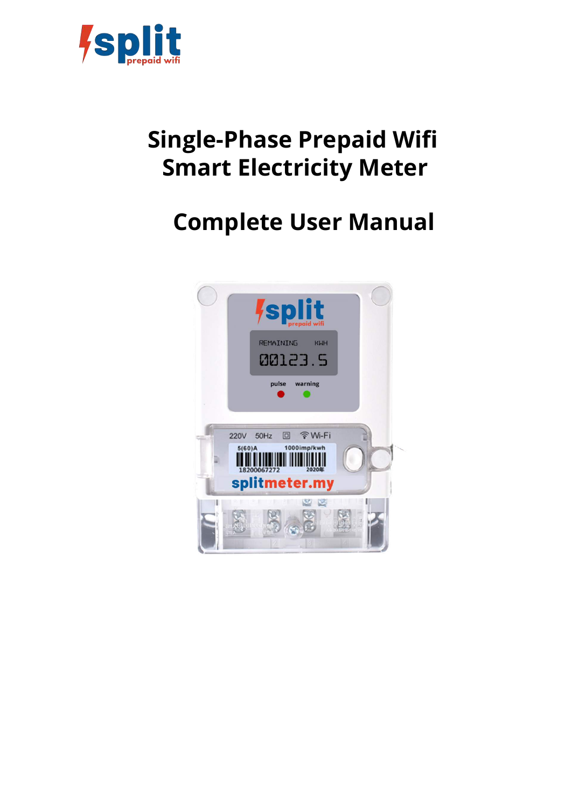

# **Single-Phase Prepaid Wifi Smart Electricity Meter**

# **Complete User Manual**

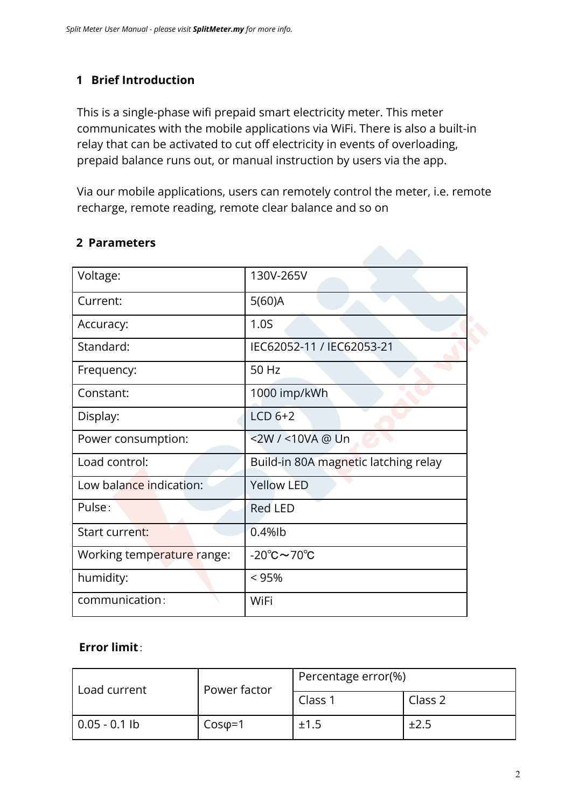## **1 Brief Introduction**

This is a single-phase wifi prepaid smart electricity meter. This meter communicates with the mobile applications via WiFi. There is also a built-in relay that can be activated to cut off electricity in events of overloading, prepaid balance runs out, or manual instruction by users via the app.

Via our mobile applications, users can remotely control the meter, i.e. remote recharge, remote reading, remote clear balance and so on

| Voltage:                   | 130V-265V                              |  |  |
|----------------------------|----------------------------------------|--|--|
| Current:                   | $5(60)$ A                              |  |  |
| Accuracy:                  | 1.0 <sub>S</sub>                       |  |  |
| Standard:                  | IEC62052-11 / IEC62053-21              |  |  |
| Frequency:                 | 50 Hz                                  |  |  |
| Constant:                  | 1000 imp/kWh                           |  |  |
| Display:                   | $LCD6+2$                               |  |  |
| Power consumption:         | <2W / <10VA @ Un                       |  |  |
| Load control:              | Build-in 80A magnetic latching relay   |  |  |
| Low balance indication:    | <b>Yellow LED</b>                      |  |  |
| Pulse:                     | <b>Red LED</b>                         |  |  |
| Start current:             | $0.4%$ lb                              |  |  |
| Working temperature range: | $-20^{\circ}$ C $\sim$ 70 $^{\circ}$ C |  |  |
| humidity:                  | $< 95\%$                               |  |  |
| communication:             | WiFi                                   |  |  |

### **2 Parameters**

#### **Error limit**:

| Load current    | Power factor   | Percentage error(%) |           |
|-----------------|----------------|---------------------|-----------|
|                 |                | Class 1             | Class 2   |
| l 0.05 - 0.1 lb | $Cos\varphi=1$ | ±1.5                | $\pm 2.5$ |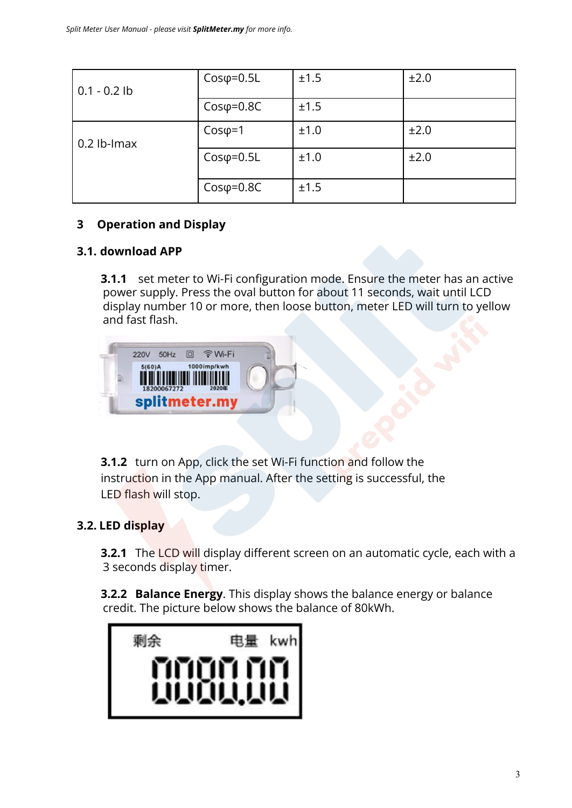| $0.1 - 0.2$ lb | $Cos\varphi = 0.5L$ | ±1.5 | ±2.0 |
|----------------|---------------------|------|------|
|                | $Cos\varphi = 0.8C$ | ±1.5 |      |
| $0.2$ lb-lmax  | $Cos\varphi=1$      | ±1.0 | ±2.0 |
|                | $Cos\varphi = 0.5L$ | ±1.0 | ±2.0 |
|                | $Cos\varphi = 0.8C$ | ±1.5 |      |

#### **3 Operation and Display**

#### **3.1. download APP**

**3.1.1** set meter to Wi-Fi configuration mode. Ensure the meter has an active power supply. Press the oval button for about 11 seconds, wait until LCD display number 10 or more, then loose button, meter LED will turn to yellow and fast flash.



**3.1.2** turn on App, click the set Wi-Fi function and follow the instruction in the App manual. After the setting is successful, the LED flash will stop.

#### **3.2. LED display**

**3.2.1** The LCD will display different screen on an automatic cycle, each with a 3 seconds display timer.

**3.2.2 Balance Energy**. This display shows the balance energy or balance credit. The picture below shows the balance of 80kWh.

| <b>MODULUI</b> |
|----------------|
|                |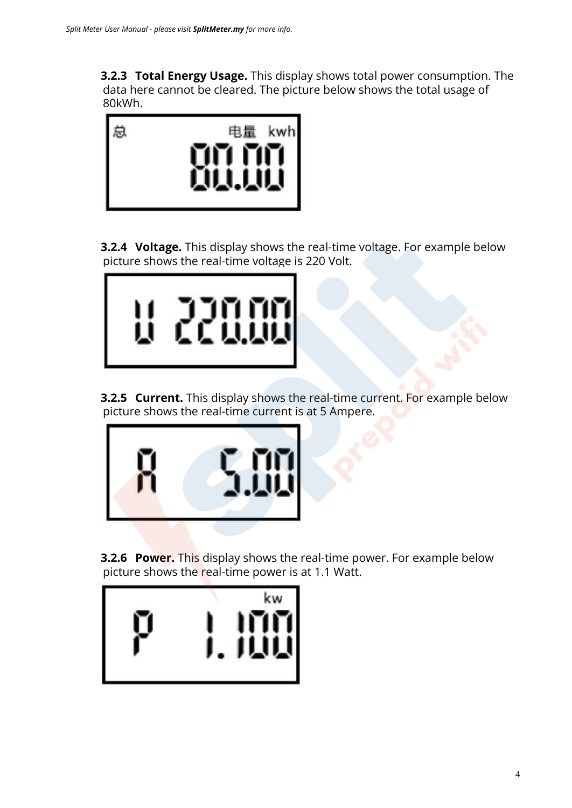**3.2.3 Total Energy Usage.** This display shows total power consumption. The data here cannot be cleared. The picture below shows the total usage of 80kWh.



**3.2.4 Voltage.** This display shows the real-time voltage. For example below picture shows the real-time voltage is 220 Volt.



**3.2.5 Current.** This display shows the real-time current. For example below picture shows the real-time current is at 5 Ampere.



**3.2.6 Power.** This display shows the real-time power. For example below picture shows the real-time power is at 1.1 Watt.

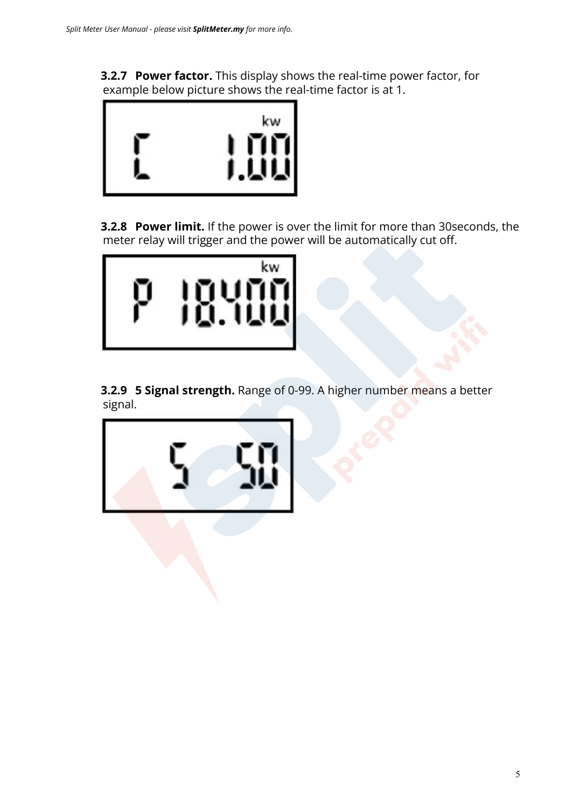**3.2.7 Power factor.** This display shows the real-time power factor, for example below picture shows the real-time factor is at 1.



**3.2.8 Power limit.** If the power is over the limit for more than 30seconds, the meter relay will trigger and the power will be automatically cut off.



**3.2.9 5 Signal strength.** Range of 0-99. A higher number means a better signal.

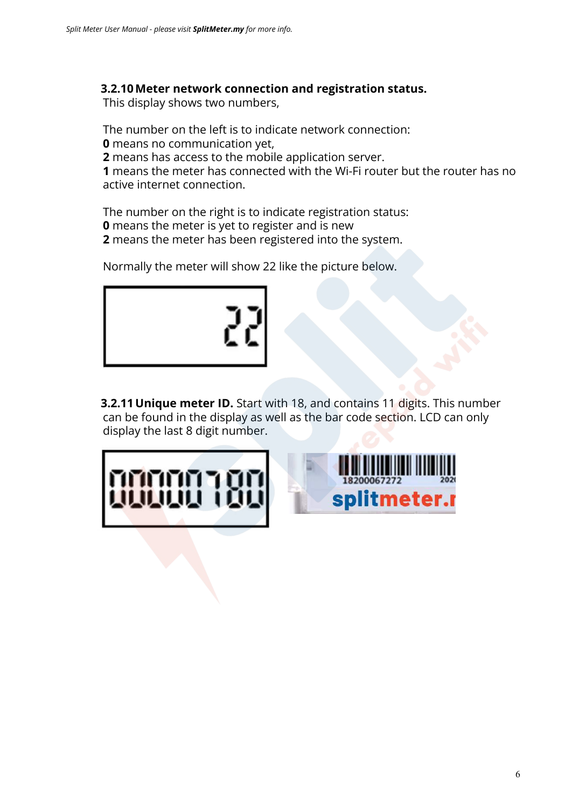#### **3.2.10Meter network connection and registration status.**

This display shows two numbers,

The number on the left is to indicate network connection:

**0** means no communication yet,

**2** means has access to the mobile application server.

**1** means the meter has connected with the Wi-Fi router but the router has no active internet connection.

The number on the right is to indicate registration status: **0** means the meter is yet to register and is new **2** means the meter has been registered into the system.

Normally the meter will show 22 like the picture below.



**3.2.11 Unique meter ID.** Start with 18, and contains 11 digits. This number can be found in the display as well as the bar code section. LCD can only display the last 8 digit number.



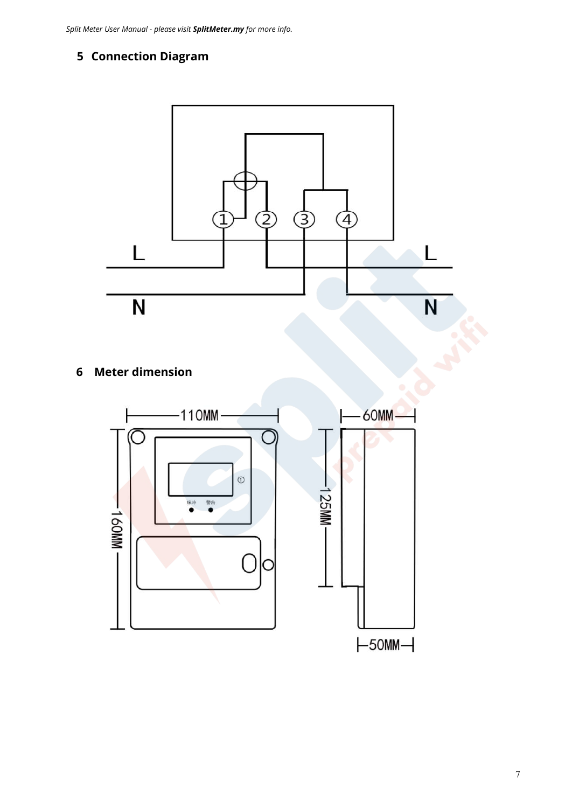# **Connection Diagram**



**Meter dimension**

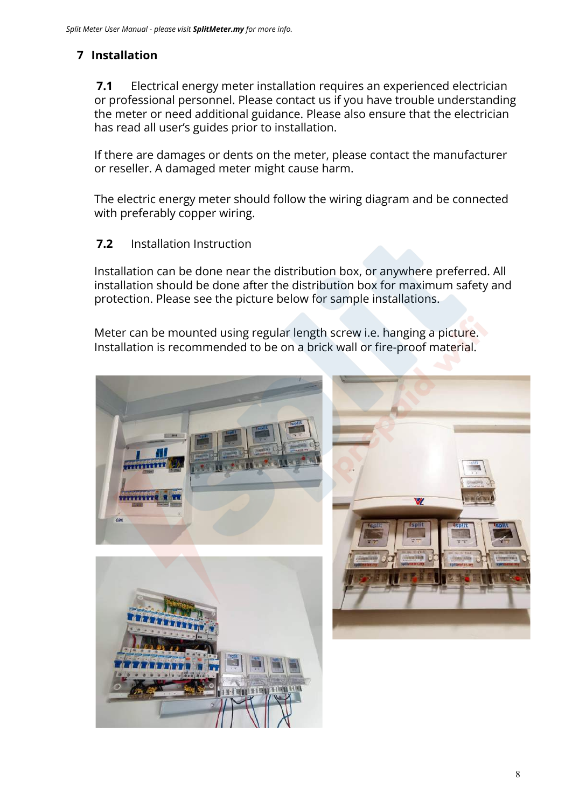# **7 Installation**

**7.1** Electrical energy meter installation requires an experienced electrician or professional personnel. Please contact us if you have trouble understanding the meter or need additional guidance. Please also ensure that the electrician has read all user's guides prior to installation.

If there are damages or dents on the meter, please contact the manufacturer or reseller. A damaged meter might cause harm.

The electric energy meter should follow the wiring diagram and be connected with preferably copper wiring.

#### **7.2** Installation Instruction

Installation can be done near the distribution box, or anywhere preferred. All installation should be done after the distribution box for maximum safety and protection. Please see the picture below for sample installations.

Meter can be mounted using regular length screw i.e. hanging a picture. Installation is recommended to be on a brick wall or fire-proof material.